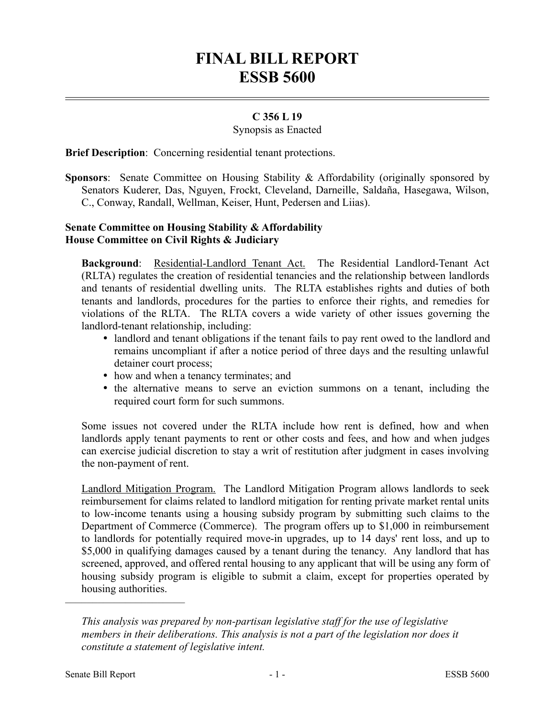# **FINAL BILL REPORT ESSB 5600**

## **C 356 L 19**

#### Synopsis as Enacted

**Brief Description**: Concerning residential tenant protections.

**Sponsors**: Senate Committee on Housing Stability & Affordability (originally sponsored by Senators Kuderer, Das, Nguyen, Frockt, Cleveland, Darneille, Saldaña, Hasegawa, Wilson, C., Conway, Randall, Wellman, Keiser, Hunt, Pedersen and Liias).

### **Senate Committee on Housing Stability & Affordability House Committee on Civil Rights & Judiciary**

**Background**: Residential-Landlord Tenant Act. The Residential Landlord-Tenant Act (RLTA) regulates the creation of residential tenancies and the relationship between landlords and tenants of residential dwelling units. The RLTA establishes rights and duties of both tenants and landlords, procedures for the parties to enforce their rights, and remedies for violations of the RLTA. The RLTA covers a wide variety of other issues governing the landlord-tenant relationship, including:

- landlord and tenant obligations if the tenant fails to pay rent owed to the landlord and remains uncompliant if after a notice period of three days and the resulting unlawful detainer court process;
- how and when a tenancy terminates; and
- the alternative means to serve an eviction summons on a tenant, including the required court form for such summons.

Some issues not covered under the RLTA include how rent is defined, how and when landlords apply tenant payments to rent or other costs and fees, and how and when judges can exercise judicial discretion to stay a writ of restitution after judgment in cases involving the non-payment of rent.

Landlord Mitigation Program. The Landlord Mitigation Program allows landlords to seek reimbursement for claims related to landlord mitigation for renting private market rental units to low-income tenants using a housing subsidy program by submitting such claims to the Department of Commerce (Commerce). The program offers up to \$1,000 in reimbursement to landlords for potentially required move-in upgrades, up to 14 days' rent loss, and up to \$5,000 in qualifying damages caused by a tenant during the tenancy. Any landlord that has screened, approved, and offered rental housing to any applicant that will be using any form of housing subsidy program is eligible to submit a claim, except for properties operated by housing authorities.

––––––––––––––––––––––

*This analysis was prepared by non-partisan legislative staff for the use of legislative members in their deliberations. This analysis is not a part of the legislation nor does it constitute a statement of legislative intent.*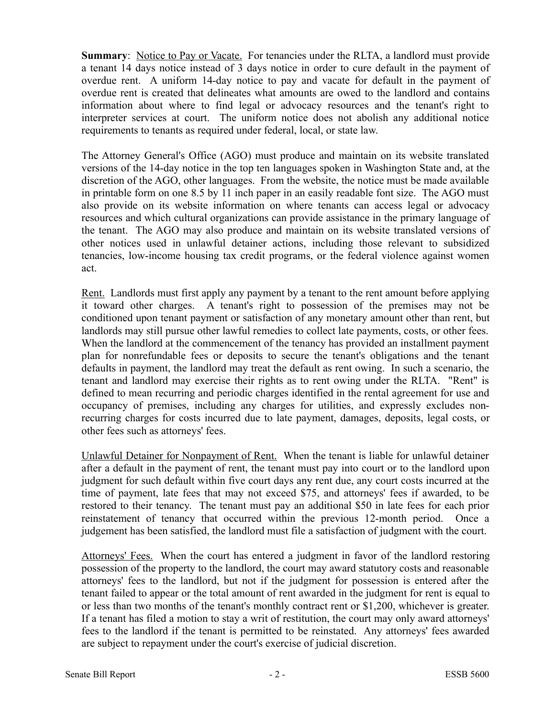**Summary**: Notice to Pay or Vacate. For tenancies under the RLTA, a landlord must provide a tenant 14 days notice instead of 3 days notice in order to cure default in the payment of overdue rent. A uniform 14-day notice to pay and vacate for default in the payment of overdue rent is created that delineates what amounts are owed to the landlord and contains information about where to find legal or advocacy resources and the tenant's right to interpreter services at court. The uniform notice does not abolish any additional notice requirements to tenants as required under federal, local, or state law.

The Attorney General's Office (AGO) must produce and maintain on its website translated versions of the 14-day notice in the top ten languages spoken in Washington State and, at the discretion of the AGO, other languages. From the website, the notice must be made available in printable form on one 8.5 by 11 inch paper in an easily readable font size. The AGO must also provide on its website information on where tenants can access legal or advocacy resources and which cultural organizations can provide assistance in the primary language of the tenant. The AGO may also produce and maintain on its website translated versions of other notices used in unlawful detainer actions, including those relevant to subsidized tenancies, low-income housing tax credit programs, or the federal violence against women act.

Rent. Landlords must first apply any payment by a tenant to the rent amount before applying it toward other charges. A tenant's right to possession of the premises may not be conditioned upon tenant payment or satisfaction of any monetary amount other than rent, but landlords may still pursue other lawful remedies to collect late payments, costs, or other fees. When the landlord at the commencement of the tenancy has provided an installment payment plan for nonrefundable fees or deposits to secure the tenant's obligations and the tenant defaults in payment, the landlord may treat the default as rent owing. In such a scenario, the tenant and landlord may exercise their rights as to rent owing under the RLTA. "Rent" is defined to mean recurring and periodic charges identified in the rental agreement for use and occupancy of premises, including any charges for utilities, and expressly excludes nonrecurring charges for costs incurred due to late payment, damages, deposits, legal costs, or other fees such as attorneys' fees.

Unlawful Detainer for Nonpayment of Rent. When the tenant is liable for unlawful detainer after a default in the payment of rent, the tenant must pay into court or to the landlord upon judgment for such default within five court days any rent due, any court costs incurred at the time of payment, late fees that may not exceed \$75, and attorneys' fees if awarded, to be restored to their tenancy. The tenant must pay an additional \$50 in late fees for each prior reinstatement of tenancy that occurred within the previous 12-month period. Once a judgement has been satisfied, the landlord must file a satisfaction of judgment with the court.

Attorneys' Fees. When the court has entered a judgment in favor of the landlord restoring possession of the property to the landlord, the court may award statutory costs and reasonable attorneys' fees to the landlord, but not if the judgment for possession is entered after the tenant failed to appear or the total amount of rent awarded in the judgment for rent is equal to or less than two months of the tenant's monthly contract rent or \$1,200, whichever is greater. If a tenant has filed a motion to stay a writ of restitution, the court may only award attorneys' fees to the landlord if the tenant is permitted to be reinstated. Any attorneys' fees awarded are subject to repayment under the court's exercise of judicial discretion.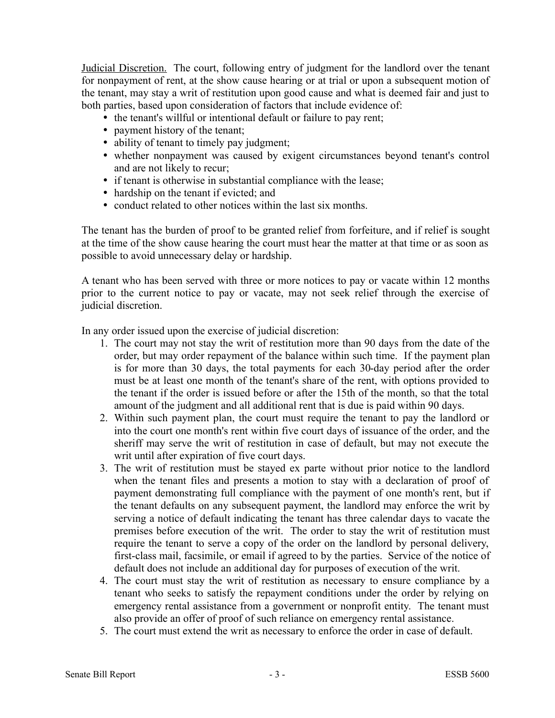Judicial Discretion. The court, following entry of judgment for the landlord over the tenant for nonpayment of rent, at the show cause hearing or at trial or upon a subsequent motion of the tenant, may stay a writ of restitution upon good cause and what is deemed fair and just to both parties, based upon consideration of factors that include evidence of:

• the tenant's willful or intentional default or failure to pay rent;

- payment history of the tenant;
- ability of tenant to timely pay judgment;
- whether nonpayment was caused by exigent circumstances beyond tenant's control and are not likely to recur;
- if tenant is otherwise in substantial compliance with the lease;
- hardship on the tenant if evicted; and
- conduct related to other notices within the last six months.

The tenant has the burden of proof to be granted relief from forfeiture, and if relief is sought at the time of the show cause hearing the court must hear the matter at that time or as soon as possible to avoid unnecessary delay or hardship.

A tenant who has been served with three or more notices to pay or vacate within 12 months prior to the current notice to pay or vacate, may not seek relief through the exercise of judicial discretion.

In any order issued upon the exercise of judicial discretion:

- 1. The court may not stay the writ of restitution more than 90 days from the date of the order, but may order repayment of the balance within such time. If the payment plan is for more than 30 days, the total payments for each 30-day period after the order must be at least one month of the tenant's share of the rent, with options provided to the tenant if the order is issued before or after the 15th of the month, so that the total amount of the judgment and all additional rent that is due is paid within 90 days.
- 2. Within such payment plan, the court must require the tenant to pay the landlord or into the court one month's rent within five court days of issuance of the order, and the sheriff may serve the writ of restitution in case of default, but may not execute the writ until after expiration of five court days.
- 3. The writ of restitution must be stayed ex parte without prior notice to the landlord when the tenant files and presents a motion to stay with a declaration of proof of payment demonstrating full compliance with the payment of one month's rent, but if the tenant defaults on any subsequent payment, the landlord may enforce the writ by serving a notice of default indicating the tenant has three calendar days to vacate the premises before execution of the writ. The order to stay the writ of restitution must require the tenant to serve a copy of the order on the landlord by personal delivery, first-class mail, facsimile, or email if agreed to by the parties. Service of the notice of default does not include an additional day for purposes of execution of the writ.
- 4. The court must stay the writ of restitution as necessary to ensure compliance by a tenant who seeks to satisfy the repayment conditions under the order by relying on emergency rental assistance from a government or nonprofit entity. The tenant must also provide an offer of proof of such reliance on emergency rental assistance.
- 5. The court must extend the writ as necessary to enforce the order in case of default.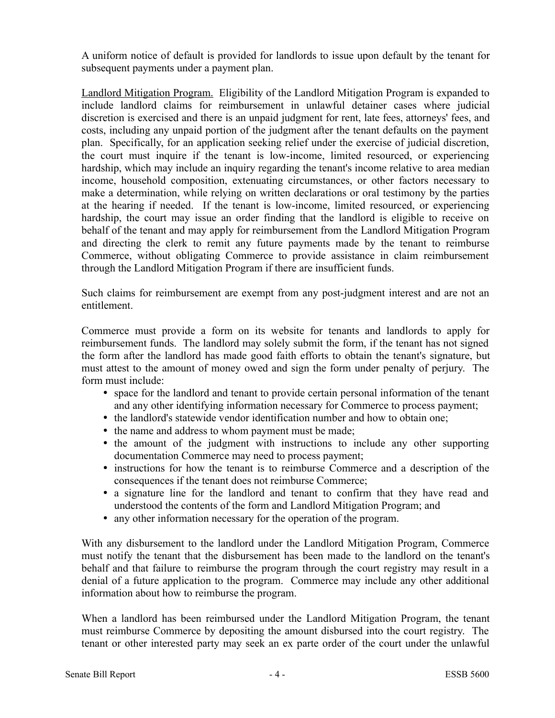A uniform notice of default is provided for landlords to issue upon default by the tenant for subsequent payments under a payment plan.

Landlord Mitigation Program. Eligibility of the Landlord Mitigation Program is expanded to include landlord claims for reimbursement in unlawful detainer cases where judicial discretion is exercised and there is an unpaid judgment for rent, late fees, attorneys' fees, and costs, including any unpaid portion of the judgment after the tenant defaults on the payment plan. Specifically, for an application seeking relief under the exercise of judicial discretion, the court must inquire if the tenant is low-income, limited resourced, or experiencing hardship, which may include an inquiry regarding the tenant's income relative to area median income, household composition, extenuating circumstances, or other factors necessary to make a determination, while relying on written declarations or oral testimony by the parties at the hearing if needed. If the tenant is low-income, limited resourced, or experiencing hardship, the court may issue an order finding that the landlord is eligible to receive on behalf of the tenant and may apply for reimbursement from the Landlord Mitigation Program and directing the clerk to remit any future payments made by the tenant to reimburse Commerce, without obligating Commerce to provide assistance in claim reimbursement through the Landlord Mitigation Program if there are insufficient funds.

Such claims for reimbursement are exempt from any post-judgment interest and are not an entitlement.

Commerce must provide a form on its website for tenants and landlords to apply for reimbursement funds. The landlord may solely submit the form, if the tenant has not signed the form after the landlord has made good faith efforts to obtain the tenant's signature, but must attest to the amount of money owed and sign the form under penalty of perjury. The form must include:

- space for the landlord and tenant to provide certain personal information of the tenant and any other identifying information necessary for Commerce to process payment;
- the landlord's statewide vendor identification number and how to obtain one;
- the name and address to whom payment must be made;
- the amount of the judgment with instructions to include any other supporting documentation Commerce may need to process payment;
- instructions for how the tenant is to reimburse Commerce and a description of the consequences if the tenant does not reimburse Commerce;
- a signature line for the landlord and tenant to confirm that they have read and understood the contents of the form and Landlord Mitigation Program; and
- any other information necessary for the operation of the program.

With any disbursement to the landlord under the Landlord Mitigation Program, Commerce must notify the tenant that the disbursement has been made to the landlord on the tenant's behalf and that failure to reimburse the program through the court registry may result in a denial of a future application to the program. Commerce may include any other additional information about how to reimburse the program.

When a landlord has been reimbursed under the Landlord Mitigation Program, the tenant must reimburse Commerce by depositing the amount disbursed into the court registry. The tenant or other interested party may seek an ex parte order of the court under the unlawful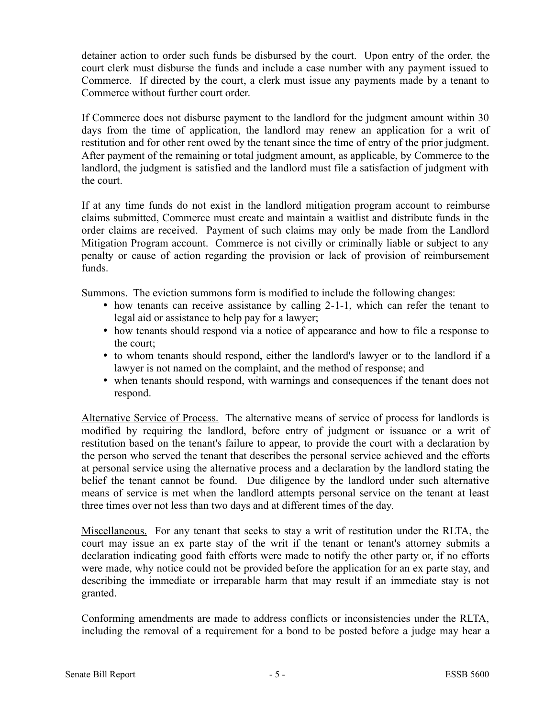detainer action to order such funds be disbursed by the court. Upon entry of the order, the court clerk must disburse the funds and include a case number with any payment issued to Commerce. If directed by the court, a clerk must issue any payments made by a tenant to Commerce without further court order.

If Commerce does not disburse payment to the landlord for the judgment amount within 30 days from the time of application, the landlord may renew an application for a writ of restitution and for other rent owed by the tenant since the time of entry of the prior judgment. After payment of the remaining or total judgment amount, as applicable, by Commerce to the landlord, the judgment is satisfied and the landlord must file a satisfaction of judgment with the court.

If at any time funds do not exist in the landlord mitigation program account to reimburse claims submitted, Commerce must create and maintain a waitlist and distribute funds in the order claims are received. Payment of such claims may only be made from the Landlord Mitigation Program account. Commerce is not civilly or criminally liable or subject to any penalty or cause of action regarding the provision or lack of provision of reimbursement funds.

Summons. The eviction summons form is modified to include the following changes:

- how tenants can receive assistance by calling 2-1-1, which can refer the tenant to legal aid or assistance to help pay for a lawyer;
- how tenants should respond via a notice of appearance and how to file a response to the court;
- to whom tenants should respond, either the landlord's lawyer or to the landlord if a lawyer is not named on the complaint, and the method of response; and
- when tenants should respond, with warnings and consequences if the tenant does not respond.

Alternative Service of Process. The alternative means of service of process for landlords is modified by requiring the landlord, before entry of judgment or issuance or a writ of restitution based on the tenant's failure to appear, to provide the court with a declaration by the person who served the tenant that describes the personal service achieved and the efforts at personal service using the alternative process and a declaration by the landlord stating the belief the tenant cannot be found. Due diligence by the landlord under such alternative means of service is met when the landlord attempts personal service on the tenant at least three times over not less than two days and at different times of the day.

Miscellaneous. For any tenant that seeks to stay a writ of restitution under the RLTA, the court may issue an ex parte stay of the writ if the tenant or tenant's attorney submits a declaration indicating good faith efforts were made to notify the other party or, if no efforts were made, why notice could not be provided before the application for an ex parte stay, and describing the immediate or irreparable harm that may result if an immediate stay is not granted.

Conforming amendments are made to address conflicts or inconsistencies under the RLTA, including the removal of a requirement for a bond to be posted before a judge may hear a